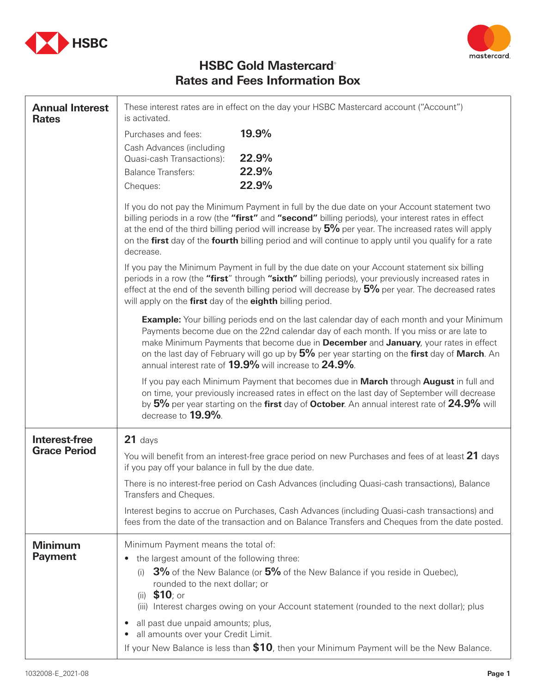



## **HSBC Gold Mastercard® Rates and Fees Information Box**

| <b>Annual Interest</b><br><b>Rates</b> | These interest rates are in effect on the day your HSBC Mastercard account ("Account")<br>is activated.                                                                                                                                                                                                                                                                                                                                    |  |
|----------------------------------------|--------------------------------------------------------------------------------------------------------------------------------------------------------------------------------------------------------------------------------------------------------------------------------------------------------------------------------------------------------------------------------------------------------------------------------------------|--|
|                                        | 19.9%<br>Purchases and fees:                                                                                                                                                                                                                                                                                                                                                                                                               |  |
|                                        | Cash Advances (including                                                                                                                                                                                                                                                                                                                                                                                                                   |  |
|                                        | 22.9%<br>Quasi-cash Transactions):                                                                                                                                                                                                                                                                                                                                                                                                         |  |
|                                        | 22.9%<br><b>Balance Transfers:</b>                                                                                                                                                                                                                                                                                                                                                                                                         |  |
|                                        | 22.9%<br>Cheques:                                                                                                                                                                                                                                                                                                                                                                                                                          |  |
|                                        | If you do not pay the Minimum Payment in full by the due date on your Account statement two<br>billing periods in a row (the "first" and "second" billing periods), your interest rates in effect<br>at the end of the third billing period will increase by 5% per year. The increased rates will apply<br>on the first day of the fourth billing period and will continue to apply until you qualify for a rate<br>decrease.             |  |
|                                        | If you pay the Minimum Payment in full by the due date on your Account statement six billing<br>periods in a row (the "first" through "sixth" billing periods), your previously increased rates in<br>effect at the end of the seventh billing period will decrease by 5% per year. The decreased rates<br>will apply on the first day of the eighth billing period.                                                                       |  |
|                                        | <b>Example:</b> Your billing periods end on the last calendar day of each month and your Minimum<br>Payments become due on the 22nd calendar day of each month. If you miss or are late to<br>make Minimum Payments that become due in December and January, your rates in effect<br>on the last day of February will go up by 5% per year starting on the first day of March. An<br>annual interest rate of 19.9% will increase to 24.9%. |  |
|                                        | If you pay each Minimum Payment that becomes due in March through August in full and<br>on time, your previously increased rates in effect on the last day of September will decrease<br>by 5% per year starting on the first day of October. An annual interest rate of 24.9% will<br>decrease to 19.9%.                                                                                                                                  |  |
| Interest-free                          | $21$ days                                                                                                                                                                                                                                                                                                                                                                                                                                  |  |
| <b>Grace Period</b>                    | You will benefit from an interest-free grace period on new Purchases and fees of at least 21 days<br>if you pay off your balance in full by the due date.                                                                                                                                                                                                                                                                                  |  |
|                                        | There is no interest-free period on Cash Advances (including Quasi-cash transactions), Balance<br>Transfers and Cheques.                                                                                                                                                                                                                                                                                                                   |  |
|                                        | Interest begins to accrue on Purchases, Cash Advances (including Quasi-cash transactions) and<br>fees from the date of the transaction and on Balance Transfers and Cheques from the date posted.                                                                                                                                                                                                                                          |  |
| <b>Minimum</b>                         | Minimum Payment means the total of:                                                                                                                                                                                                                                                                                                                                                                                                        |  |
| <b>Payment</b>                         | the largest amount of the following three:<br>3% of the New Balance (or 5% of the New Balance if you reside in Quebec),<br>(i)<br>rounded to the next dollar; or<br>$$10;$ or<br>(ii)<br>(iii) Interest charges owing on your Account statement (rounded to the next dollar); plus                                                                                                                                                         |  |
|                                        | all past due unpaid amounts; plus,<br>all amounts over your Credit Limit.<br>٠<br>If your New Balance is less than \$10, then your Minimum Payment will be the New Balance.                                                                                                                                                                                                                                                                |  |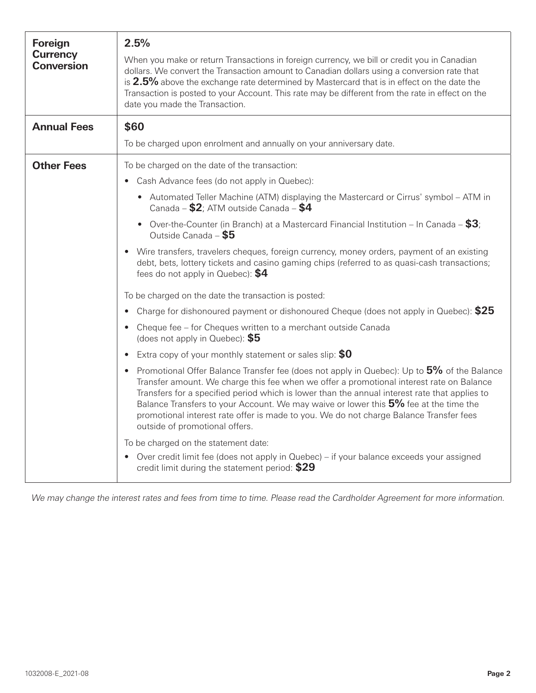| Foreign<br><b>Currency</b><br><b>Conversion</b> | 2.5%<br>When you make or return Transactions in foreign currency, we bill or credit you in Canadian<br>dollars. We convert the Transaction amount to Canadian dollars using a conversion rate that<br>is $2.5\%$ above the exchange rate determined by Mastercard that is in effect on the date the<br>Transaction is posted to your Account. This rate may be different from the rate in effect on the<br>date you made the Transaction.                                                                                |
|-------------------------------------------------|--------------------------------------------------------------------------------------------------------------------------------------------------------------------------------------------------------------------------------------------------------------------------------------------------------------------------------------------------------------------------------------------------------------------------------------------------------------------------------------------------------------------------|
| <b>Annual Fees</b>                              | \$60                                                                                                                                                                                                                                                                                                                                                                                                                                                                                                                     |
|                                                 | To be charged upon enrolment and annually on your anniversary date.                                                                                                                                                                                                                                                                                                                                                                                                                                                      |
| <b>Other Fees</b>                               | To be charged on the date of the transaction:                                                                                                                                                                                                                                                                                                                                                                                                                                                                            |
|                                                 | Cash Advance fees (do not apply in Quebec):                                                                                                                                                                                                                                                                                                                                                                                                                                                                              |
|                                                 | • Automated Teller Machine (ATM) displaying the Mastercard or Cirrus° symbol – ATM in<br>Canada - \$2; ATM outside Canada - \$4                                                                                                                                                                                                                                                                                                                                                                                          |
|                                                 | Over-the-Counter (in Branch) at a Mastercard Financial Institution – In Canada – $$3$ ;<br>Outside Canada - \$5                                                                                                                                                                                                                                                                                                                                                                                                          |
|                                                 | Wire transfers, travelers cheques, foreign currency, money orders, payment of an existing<br>debt, bets, lottery tickets and casino gaming chips (referred to as quasi-cash transactions;<br>fees do not apply in Quebec): $$4$                                                                                                                                                                                                                                                                                          |
|                                                 | To be charged on the date the transaction is posted:                                                                                                                                                                                                                                                                                                                                                                                                                                                                     |
|                                                 | Charge for dishonoured payment or dishonoured Cheque (does not apply in Quebec): \$25<br>$\bullet$                                                                                                                                                                                                                                                                                                                                                                                                                       |
|                                                 | Cheque fee - for Cheques written to a merchant outside Canada<br>(does not apply in Quebec): $$5$                                                                                                                                                                                                                                                                                                                                                                                                                        |
|                                                 | Extra copy of your monthly statement or sales slip: $$0$<br>$\bullet$                                                                                                                                                                                                                                                                                                                                                                                                                                                    |
|                                                 | Promotional Offer Balance Transfer fee (does not apply in Quebec): Up to 5% of the Balance<br>$\bullet$<br>Transfer amount. We charge this fee when we offer a promotional interest rate on Balance<br>Transfers for a specified period which is lower than the annual interest rate that applies to<br>Balance Transfers to your Account. We may waive or lower this 5% fee at the time the<br>promotional interest rate offer is made to you. We do not charge Balance Transfer fees<br>outside of promotional offers. |
|                                                 | To be charged on the statement date:<br>Over credit limit fee (does not apply in Quebec) – if your balance exceeds your assigned<br>$\bullet$<br>credit limit during the statement period: \$29                                                                                                                                                                                                                                                                                                                          |

We may change the interest rates and fees from time to time. Please read the Cardholder Agreement for more information.